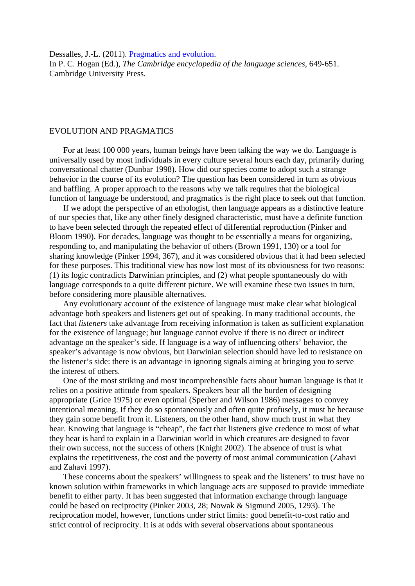Dessalles, J.-L. (2011). Pragmatics and evolution.

In P. C. Hogan (Ed.), *The Cambridge encyclopedia of the language sciences*, 649-651. Cambridge University Press.

## EVOLUTION AND PRAGMATICS

For at least 100 000 years, human beings have been talking the way we do. Language is universally used by most individuals in every culture several hours each day, primarily during conversational chatter (Dunbar 1998). How did our species come to adopt such a strange behavior in the course of its evolution? The question has been considered in turn as obvious and baffling. A proper approach to the reasons why we talk requires that the biological function of language be understood, and pragmatics is the right place to seek out that function.

If we adopt the perspective of an ethologist, then language appears as a distinctive feature of our species that, like any other finely designed characteristic, must have a definite function to have been selected through the repeated effect of differential reproduction (Pinker and Bloom 1990). For decades, language was thought to be essentially a means for organizing, responding to, and manipulating the behavior of others (Brown 1991, 130) or a tool for sharing knowledge (Pinker 1994, 367), and it was considered obvious that it had been selected for these purposes. This traditional view has now lost most of its obviousness for two reasons: (1) its logic contradicts Darwinian principles, and (2) what people spontaneously do with language corresponds to a quite different picture. We will examine these two issues in turn, before considering more plausible alternatives.

Any evolutionary account of the existence of language must make clear what biological advantage both speakers and listeners get out of speaking. In many traditional accounts, the fact that *listeners* take advantage from receiving information is taken as sufficient explanation for the existence of language; but language cannot evolve if there is no direct or indirect advantage on the speaker's side. If language is a way of influencing others' behavior, the speaker's advantage is now obvious, but Darwinian selection should have led to resistance on the listener's side: there is an advantage in ignoring signals aiming at bringing you to serve the interest of others.

One of the most striking and most incomprehensible facts about human language is that it relies on a positive attitude from speakers. Speakers bear all the burden of designing appropriate (Grice 1975) or even optimal (Sperber and Wilson 1986) messages to convey intentional meaning. If they do so spontaneously and often quite profusely, it must be because they gain some benefit from it. Listeners, on the other hand, show much trust in what they hear. Knowing that language is "cheap", the fact that listeners give credence to most of what they hear is hard to explain in a Darwinian world in which creatures are designed to favor their own success, not the success of others (Knight 2002). The absence of trust is what explains the repetitiveness, the cost and the poverty of most animal communication (Zahavi and Zahavi 1997).

These concerns about the speakers' willingness to speak and the listeners' to trust have no known solution within frameworks in which language acts are supposed to provide immediate benefit to either party. It has been suggested that information exchange through language could be based on reciprocity (Pinker 2003, 28; Nowak & Sigmund 2005, 1293). The reciprocation model, however, functions under strict limits: good benefit-to-cost ratio and strict control of reciprocity. It is at odds with several observations about spontaneous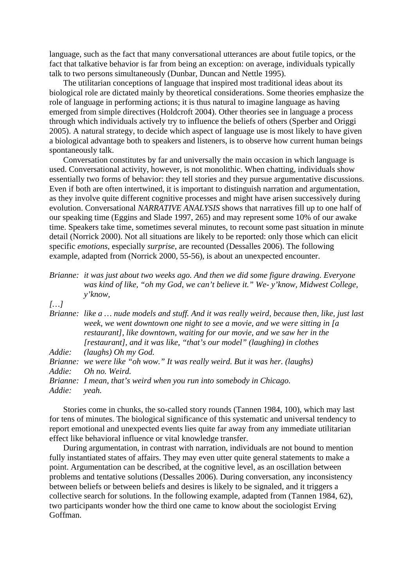language, such as the fact that many conversational utterances are about futile topics, or the fact that talkative behavior is far from being an exception: on average, individuals typically talk to two persons simultaneously (Dunbar, Duncan and Nettle 1995).

The utilitarian conceptions of language that inspired most traditional ideas about its biological role are dictated mainly by theoretical considerations. Some theories emphasize the role of language in performing actions; it is thus natural to imagine language as having emerged from simple directives (Holdcroft 2004). Other theories see in language a process through which individuals actively try to influence the beliefs of others (Sperber and Origgi 2005). A natural strategy, to decide which aspect of language use is most likely to have given a biological advantage both to speakers and listeners, is to observe how current human beings spontaneously talk.

Conversation constitutes by far and universally the main occasion in which language is used. Conversational activity, however, is not monolithic. When chatting, individuals show essentially two forms of behavior: they tell stories and they pursue argumentative discussions. Even if both are often intertwined, it is important to distinguish narration and argumentation, as they involve quite different cognitive processes and might have arisen successively during evolution. Conversational *NARRATIVE ANALYSIS* shows that narratives fill up to one half of our speaking time (Eggins and Slade 1997, 265) and may represent some 10% of our awake time. Speakers take time, sometimes several minutes, to recount some past situation in minute detail (Norrick 2000). Not all situations are likely to be reported: only those which can elicit specific *emotions*, especially *surprise*, are recounted (Dessalles 2006). The following example, adapted from (Norrick 2000, 55-56), is about an unexpected encounter.

| Brianne: it was just about two weeks ago. And then we did some figure drawing. Everyone |
|-----------------------------------------------------------------------------------------|
| was kind of like, "oh my God, we can't believe it." We- y'know, Midwest College,        |
| $y'$ know,                                                                              |

*[…]* 

|        | Brianne: like a  nude models and stuff. And it was really weird, because then, like, just last |
|--------|------------------------------------------------------------------------------------------------|
|        | week, we went downtown one night to see a movie, and we were sitting in [a                     |
|        | restaurant], like downtown, waiting for our movie, and we saw her in the                       |
|        | [restaurant], and it was like, "that's our model" (laughing) in clothes                        |
|        | Addie: (laughs) Oh my God.                                                                     |
|        | Brianne: we were like "oh wow." It was really weird. But it was her. (laughs)                  |
| Addie: | Oh no. Weird.                                                                                  |
|        | Brianne: I mean, that's weird when you run into somebody in Chicago.                           |
| Addie: | yeah.                                                                                          |

Stories come in chunks, the so-called story rounds (Tannen 1984, 100), which may last for tens of minutes. The biological significance of this systematic and universal tendency to report emotional and unexpected events lies quite far away from any immediate utilitarian effect like behavioral influence or vital knowledge transfer.

During argumentation, in contrast with narration, individuals are not bound to mention fully instantiated states of affairs. They may even utter quite general statements to make a point. Argumentation can be described, at the cognitive level, as an oscillation between problems and tentative solutions (Dessalles 2006). During conversation, any inconsistency between beliefs or between beliefs and desires is likely to be signaled, and it triggers a collective search for solutions. In the following example, adapted from (Tannen 1984, 62), two participants wonder how the third one came to know about the sociologist Erving Goffman.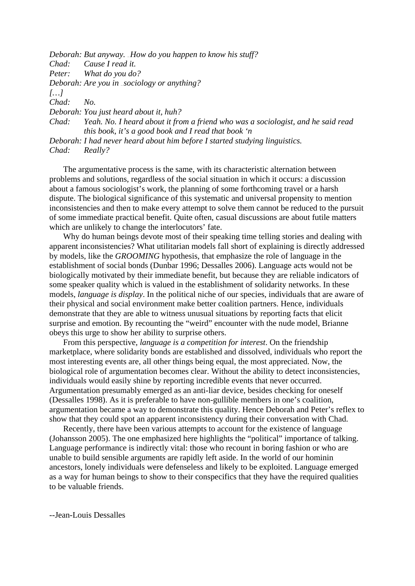*Deborah: But anyway. ... How do you happen to know his stuff? Chad: Cause I read it. Peter: What do you do? Deborah: Are you in ... sociology or anything? […] Chad: No. Deborah: You just heard about it, huh? Chad: Yeah. No. I heard about it from a friend who was a sociologist, and he said read this book, it's a good book and I read that book 'n Deborah: I had never heard about him before I started studying linguistics. Chad: Really?* 

The argumentative process is the same, with its characteristic alternation between problems and solutions, regardless of the social situation in which it occurs: a discussion about a famous sociologist's work, the planning of some forthcoming travel or a harsh dispute. The biological significance of this systematic and universal propensity to mention inconsistencies and then to make every attempt to solve them cannot be reduced to the pursuit of some immediate practical benefit. Quite often, casual discussions are about futile matters which are unlikely to change the interlocutors' fate.

Why do human beings devote most of their speaking time telling stories and dealing with apparent inconsistencies? What utilitarian models fall short of explaining is directly addressed by models, like the *GROOMING* hypothesis, that emphasize the role of language in the establishment of social bonds (Dunbar 1996; Dessalles 2006). Language acts would not be biologically motivated by their immediate benefit, but because they are reliable indicators of some speaker quality which is valued in the establishment of solidarity networks. In these models, *language is display*. In the political niche of our species, individuals that are aware of their physical and social environment make better coalition partners. Hence, individuals demonstrate that they are able to witness unusual situations by reporting facts that elicit surprise and emotion. By recounting the "weird" encounter with the nude model, Brianne obeys this urge to show her ability to surprise others.

From this perspective, *language is a competition for interest*. On the friendship marketplace, where solidarity bonds are established and dissolved, individuals who report the most interesting events are, all other things being equal, the most appreciated. Now, the biological role of argumentation becomes clear. Without the ability to detect inconsistencies, individuals would easily shine by reporting incredible events that never occurred. Argumentation presumably emerged as an anti-liar device, besides checking for oneself (Dessalles 1998). As it is preferable to have non-gullible members in one's coalition, argumentation became a way to demonstrate this quality. Hence Deborah and Peter's reflex to show that they could spot an apparent inconsistency during their conversation with Chad.

Recently, there have been various attempts to account for the existence of language (Johansson 2005). The one emphasized here highlights the "political" importance of talking. Language performance is indirectly vital: those who recount in boring fashion or who are unable to build sensible arguments are rapidly left aside. In the world of our hominin ancestors, lonely individuals were defenseless and likely to be exploited. Language emerged as a way for human beings to show to their conspecifics that they have the required qualities to be valuable friends.

--Jean-Louis Dessalles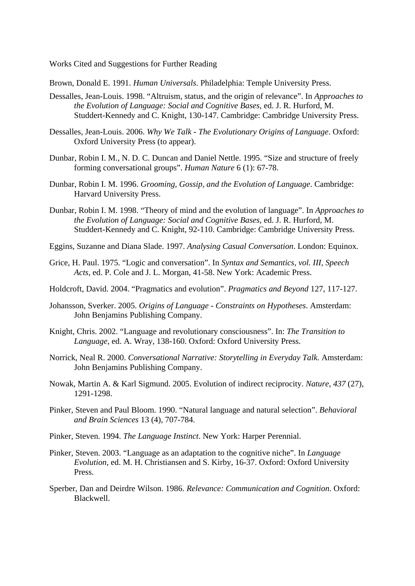Works Cited and Suggestions for Further Reading

Brown, Donald E. 1991. *Human Universals*. Philadelphia: Temple University Press.

- Dessalles, Jean-Louis. 1998. "Altruism, status, and the origin of relevance". In *Approaches to the Evolution of Language: Social and Cognitive Bases*, ed. J. R. Hurford, M. Studdert-Kennedy and C. Knight, 130-147. Cambridge: Cambridge University Press.
- Dessalles, Jean-Louis. 2006. *Why We Talk The Evolutionary Origins of Language*. Oxford: Oxford University Press (to appear).
- Dunbar, Robin I. M., N. D. C. Duncan and Daniel Nettle. 1995. "Size and structure of freely forming conversational groups". *Human Nature* 6 (1): 67-78.
- Dunbar, Robin I. M. 1996. *Grooming, Gossip, and the Evolution of Language*. Cambridge: Harvard University Press.
- Dunbar, Robin I. M. 1998. "Theory of mind and the evolution of language". In *Approaches to the Evolution of Language: Social and Cognitive Bases*, ed. J. R. Hurford, M. Studdert-Kennedy and C. Knight, 92-110. Cambridge: Cambridge University Press.
- Eggins, Suzanne and Diana Slade. 1997. *Analysing Casual Conversation*. London: Equinox.
- Grice, H. Paul. 1975. "Logic and conversation". In *Syntax and Semantics, vol. III, Speech Acts*, ed. P. Cole and J. L. Morgan, 41-58. New York: Academic Press.
- Holdcroft, David. 2004. "Pragmatics and evolution". *Pragmatics and Beyond* 127, 117-127.
- Johansson, Sverker. 2005. *Origins of Language Constraints on Hypotheses*. Amsterdam: John Benjamins Publishing Company.
- Knight, Chris. 2002. "Language and revolutionary consciousness". In: *The Transition to Language*, ed. A. Wray, 138-160. Oxford: Oxford University Press.
- Norrick, Neal R. 2000. *Conversational Narrative: Storytelling in Everyday Talk*. Amsterdam: John Benjamins Publishing Company.
- Nowak, Martin A. & Karl Sigmund. 2005. Evolution of indirect reciprocity. *Nature*, *437* (27), 1291-1298.
- Pinker, Steven and Paul Bloom. 1990. "Natural language and natural selection". *Behavioral and Brain Sciences* 13 (4), 707-784.
- Pinker, Steven. 1994. *The Language Instinct*. New York: Harper Perennial.
- Pinker, Steven. 2003. "Language as an adaptation to the cognitive niche". In *Language Evolution*, ed. M. H. Christiansen and S. Kirby, 16-37. Oxford: Oxford University Press.
- Sperber, Dan and Deirdre Wilson. 1986. *Relevance: Communication and Cognition*. Oxford: Blackwell.